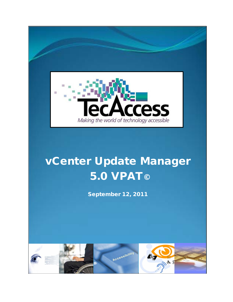

# vCenter Update Manager 5.0 VPAT©

September 12, 2011

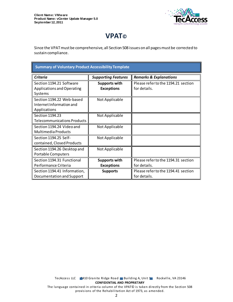

# **VPAT©**

Since the VPAT must be comprehensive, all Section 508 issues on all pages must be corrected to sustain compliance.

| <b>Summary of Voluntary Product Accessibility Template</b>            |                                           |                                                     |
|-----------------------------------------------------------------------|-------------------------------------------|-----------------------------------------------------|
| <b>Criteria</b>                                                       | <b>Supporting Features</b>                | <b>Remarks &amp; Explanations</b>                   |
| Section 1194.21 Software<br>Applications and Operating<br>Systems     | <b>Supports with</b><br><b>Exceptions</b> | Please refer to the 1194.21 section<br>for details. |
| Section 1194.22 Web-based<br>Internet Information and<br>Applications | Not Applicable                            |                                                     |
| Section 1194.23<br><b>Telecommunications Products</b>                 | Not Applicable                            |                                                     |
| Section 1194.24 Video and<br>Multimedia Products                      | Not Applicable                            |                                                     |
| Section 1194.25 Self-<br>contained, Closed Products                   | Not Applicable                            |                                                     |
| Section 1194.26 Desktop and<br><b>Portable Computers</b>              | Not Applicable                            |                                                     |
| Section 1194.31 Functional<br>Performance Criteria                    | <b>Supports with</b><br><b>Exceptions</b> | Please refer to the 1194.31 section<br>for details. |
| Section 1194.41 Information,<br>Documentation and Support             | <b>Supports</b>                           | Please refer to the 1194.41 section<br>for details. |

TecAccess LLC 2410 Granite Ridge Road Building A, Unit 1 Rockville, VA 23146 **CONFIDENTIAL AND PROPRIETARY** The language contained in criteria column of the VPAT© is taken directly from the Section 508

provisions of the Rehabilitation Act of 1973, as amended.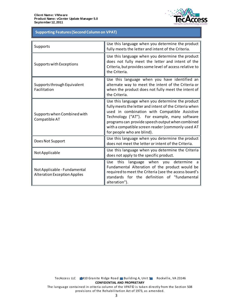

# **Table 1: Supporting Features (Second Column on VPAT) Supporting Features (Second Column on VPAT)**

| Supports                                                            | Use this language when you determine the product<br>fully meets the letter and intent of the Criteria.                                                                                                                                                                                                                                              |
|---------------------------------------------------------------------|-----------------------------------------------------------------------------------------------------------------------------------------------------------------------------------------------------------------------------------------------------------------------------------------------------------------------------------------------------|
| Supports with Exceptions                                            | Use this language when you determine the product<br>does not fully meet the letter and intent of the<br>Criteria, but provides some level of access relative to<br>the Criteria.                                                                                                                                                                    |
| Supports through Equivalent<br>Facilitation                         | Use this language when you have identified an<br>alternate way to meet the intent of the Criteria or<br>when the product does not fully meet the intent of<br>the Criteria.                                                                                                                                                                         |
| Supports when Combined with<br>Compatible AT                        | Use this language when you determine the product<br>fully meets the letter and intent of the Criteria when<br>used in combination with Compatible Assistive<br>Technology ("AT"). For example, many software<br>programs can provide speech output when combined<br>with a compatible screen reader (commonly used AT<br>for people who are blind). |
| Does Not Support                                                    | Use this language when you determine the product<br>does not meet the letter or intent of the Criteria.                                                                                                                                                                                                                                             |
| Not Applicable                                                      | Use this language when you determine the Criteria<br>does not apply to the specific product.                                                                                                                                                                                                                                                        |
| Not Applicable - Fundamental<br><b>Alteration Exception Applies</b> | language when you determine a<br>Use this<br>Fundamental Alteration of the product would be<br>required to meet the Criteria (see the access board's<br>standards for the definition of "fundamental<br>alteration").                                                                                                                               |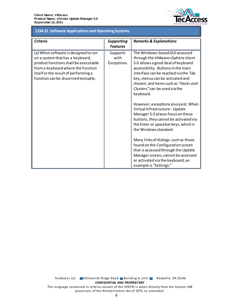

## **1194.21 Software Applications and Operating Systems 1194.21 Software Applications and Operating Systems**

| <b>Criteria</b>                                                                                                                                                                                                                         | <b>Supporting</b><br><b>Features</b>  | <b>Remarks &amp; Explanations</b>                                                                                                                                                                                                                                                                                |
|-----------------------------------------------------------------------------------------------------------------------------------------------------------------------------------------------------------------------------------------|---------------------------------------|------------------------------------------------------------------------------------------------------------------------------------------------------------------------------------------------------------------------------------------------------------------------------------------------------------------|
| (a) When software is designed to run<br>on a system that has a keyboard,<br>product functions shall be executable<br>from a keyboard where the function<br>itself or the result of performing a<br>function can be discerned textually. | <b>Supports</b><br>with<br>Exceptions | The Windows-based GUI accessed<br>through the VMware vSphere client<br>5.0 allows a good deal of keyboard<br>accessibility. Buttons in the main<br>interface can be reached via the Tab<br>key, menus can be activated and<br>chosen, and items such as "Hosts and<br>Clusters" can be used via the<br>keyboard. |
|                                                                                                                                                                                                                                         |                                       | However, exceptions also exist. When<br>Virtual Infrastructure - Update<br>Manager 5.0 places focus on these<br>buttons, they cannot be activated via<br>the Enter or spacebar keys, which is<br>the Windows standard.                                                                                           |
|                                                                                                                                                                                                                                         |                                       | Many links of dialogs, such as those<br>found on the Configuration screen<br>that is accessed through the Update<br>Manager screen, cannot be accessed<br>or activated via the keyboard; an<br>example is "Settings."                                                                                            |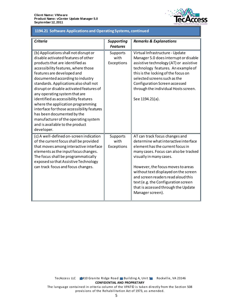

## **1194.21 Software Applications and Operating Systems, continued 1194.21 Software Applications and Operating Systems, continued**

| <b>Criteria</b>                                                                                                                                                                                                                                                                                                                                                                                                                                                                                                                                                                                   | <b>Supporting</b><br><b>Features</b> | <b>Remarks &amp; Explanations</b>                                                                                                                                                                                                                                                                                                                                                                   |
|---------------------------------------------------------------------------------------------------------------------------------------------------------------------------------------------------------------------------------------------------------------------------------------------------------------------------------------------------------------------------------------------------------------------------------------------------------------------------------------------------------------------------------------------------------------------------------------------------|--------------------------------------|-----------------------------------------------------------------------------------------------------------------------------------------------------------------------------------------------------------------------------------------------------------------------------------------------------------------------------------------------------------------------------------------------------|
| (b) Applications shall not disrupt or<br>disable activated features of other<br>products that are identified as<br>accessibility features, where those<br>features are developed and<br>documented according to industry<br>standards. Applications also shall not<br>disrupt or disable activated features of<br>any operating system that are<br>identified as accessibility features<br>where the application programming<br>interface for those accessibility features<br>has been documented by the<br>manufacturer of the operating system<br>and is available to the product<br>developer. | Supports<br>with<br>Exceptions       | Virtual Infrastructure - Update<br>Manager 5.0 does interrupt or disable<br>assistive technology (AT) or assistive<br>technology features. An example of<br>this is the locking of the focus on<br>selected screens such as the<br>Configuration Screen accessed<br>through the individual Hosts screen.<br>See 1194.21(a).                                                                         |
| (c) A well-defined on-screen indication<br>of the current focus shall be provided<br>that moves among interactive interface<br>elements as the input focus changes.<br>The focus shall be programmatically<br>exposed so that Assistive Technology<br>can track focus and focus changes.                                                                                                                                                                                                                                                                                                          | Supports<br>with<br>Exceptions       | AT can track focus changes and<br>determine what interactive interface<br>element has the current focus in<br>many cases. Focus can also be tracked<br>visually in many cases.<br>However, the focus moves to areas<br>without text displayed on the screen<br>and screen readers read aloud this<br>text (e.g. the Configuration screen<br>that is accessed through the Update<br>Manager screen). |

TecAccess LLC 2410 Granite Ridge Road Building A, Unit 1 Rockville, VA 23146 **CONFIDENTIAL AND PROPRIETARY** The language contained in criteria column of the VPAT© is taken directly from the Section 508 provisions of the Rehabilitation Act of 1973, as amended.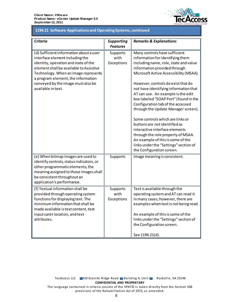

#### 1194.21 Software Applications and Operating Systems, continued **1194.21 Software Applications and Operating Systems, continued**

| Criteria                                                                                                                                                                                                                                                                                                | <b>Supporting</b>              | <b>Remarks &amp; Explanations</b>                                                                                                                                                                                                                                                                                                                                                                                                                                                                                                                                                                                                                                                      |
|---------------------------------------------------------------------------------------------------------------------------------------------------------------------------------------------------------------------------------------------------------------------------------------------------------|--------------------------------|----------------------------------------------------------------------------------------------------------------------------------------------------------------------------------------------------------------------------------------------------------------------------------------------------------------------------------------------------------------------------------------------------------------------------------------------------------------------------------------------------------------------------------------------------------------------------------------------------------------------------------------------------------------------------------------|
|                                                                                                                                                                                                                                                                                                         | <b>Features</b>                |                                                                                                                                                                                                                                                                                                                                                                                                                                                                                                                                                                                                                                                                                        |
| (d) Sufficient information about a user<br>interface element including the<br>identity, operation and state of the<br>element shall be available to Assistive<br>Technology. When an image represents<br>a program element, the information<br>conveyed by the image must also be<br>available in text. | Supports<br>with<br>Exceptions | Many controls have sufficient<br>information for identifying them<br>including name, role, state and value<br>information provided through<br>Microsoft Active Accessibility (MSAA).<br>However, controls do exist that do<br>not have identifying information that<br>AT can use. An example is the edit<br>box labeled "SOAP Port" (found in the<br>Configuration tab of the accessed<br>through the Update Manager screen).<br>Some controls which are links or<br>buttons are not identified as<br>interactive interface elements<br>through the role property of MSAA.<br>An example of this is some of the<br>links under the "Settings" section of<br>the Configuration screen. |
| (e) When bitmap images are used to<br>identify controls, status indicators, or<br>other programmatic elements, the<br>meaning assigned to those images shall<br>be consistent throughout an<br>application's performance.                                                                               | Supports                       | Image meaning is consistent.                                                                                                                                                                                                                                                                                                                                                                                                                                                                                                                                                                                                                                                           |
| (f) Textual information shall be<br>provided through operating system<br>functions for displaying text. The<br>minimum information that shall be<br>made available is text content, text<br>input caret location, and text<br>attributes.                                                               | Supports<br>with<br>Exceptions | Text is available through the<br>operating system and AT can read it<br>in many cases; however, there are<br>examples when text is not being read.<br>An example of this is some of the<br>links under the "Settings" section of<br>the Configuration screen.<br>See 1194.21(d).                                                                                                                                                                                                                                                                                                                                                                                                       |

provisions of the Rehabilitation Act of 1973, as amended.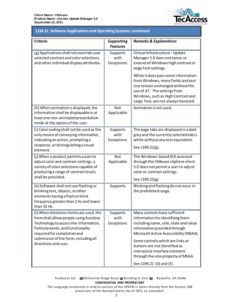

## 1194.21 Software Applications and Operating Systems, continued **1194.21 Software Applications and Operating Systems, continued**

| <b>Criteria</b>                                                                                                                                                                                                                                                  | <b>Supporting</b><br><b>Features</b>  | <b>Remarks &amp; Explanations</b>                                                                                                                                                                                                                                                                                                                             |
|------------------------------------------------------------------------------------------------------------------------------------------------------------------------------------------------------------------------------------------------------------------|---------------------------------------|---------------------------------------------------------------------------------------------------------------------------------------------------------------------------------------------------------------------------------------------------------------------------------------------------------------------------------------------------------------|
| (g) Applications shall not override user<br>selected contrast and color selections<br>and other individual display attributes.                                                                                                                                   | <b>Supports</b><br>with<br>Exceptions | Virtual Infrastructure - Update<br>Manager 5.0 does not honor or<br>extend all Windows high contrast or<br>large font settings.                                                                                                                                                                                                                               |
|                                                                                                                                                                                                                                                                  |                                       | While it does pass some information<br>from Windows, many fields and text<br>size remain unchanged without the<br>use of AT. The settings from<br>Windows, such as High Contrast and<br>Large Text, are not always honored.                                                                                                                                   |
| (h) When animation is displayed, the<br>information shall be displayable in at<br>least one non-animated presentation<br>mode at the option of the user.                                                                                                         | Not<br>Applicable                     | Animation is not used.                                                                                                                                                                                                                                                                                                                                        |
| (i) Color coding shall not be used as the<br>only means of conveying information,<br>indicating an action, prompting a<br>response, or distinguishing a visual                                                                                                   | Supports<br>with<br>Exceptions        | The page tabs are displayed in a dark<br>grey and the currently selected tab is<br>white without any text equivalent.                                                                                                                                                                                                                                         |
| element.                                                                                                                                                                                                                                                         |                                       | See 1194.21(g).                                                                                                                                                                                                                                                                                                                                               |
| (j) When a product permits a user to<br>adjust color and contrast settings, a<br>variety of color selections capable of<br>producing a range of contrast levels                                                                                                  | Not<br>Applicable                     | The Windows-based GUI accessed<br>through the VMware vSphere client<br>5.0 does not permit a user to adjust<br>color or contrast settings.                                                                                                                                                                                                                    |
| shall be provided.                                                                                                                                                                                                                                               |                                       | See 1194.21(g)                                                                                                                                                                                                                                                                                                                                                |
| (k) Software shall not use flashing or<br>blinking text, objects, or other<br>elements having a flash or blink<br>frequency greater than 2 Hz and lower<br>than $55 H7$                                                                                          | Supports                              | Blinking and flashing do not occur in<br>the prohibited range.                                                                                                                                                                                                                                                                                                |
| (I) When electronic forms are used, the<br>form shall allow people using Assistive<br>Technology to access the information,<br>field elements, and functionality<br>required for completion and<br>submission of the form, including all<br>directions and cues. | <b>Supports</b><br>with<br>Exceptions | Many controls have sufficient<br>information for identifying them<br>including name, role, state and value<br>information provided through<br>Microsoft Active Accessibility (MSAA).<br>Some controls which are links or<br>buttons are not identified as<br>interactive interface elements<br>through the role property of MSAA.<br>See 1194.21 (d) and (f). |

TecAccess LLC 2410 Granite Ridge Road Building A, Unit 1 Rockville, VA 23146 **CONFIDENTIAL AND PROPRIETARY**

The language contained in criteria column of the VPAT© is taken directly from the Section 508 provisions of the Rehabilitation Act of 1973, as amended.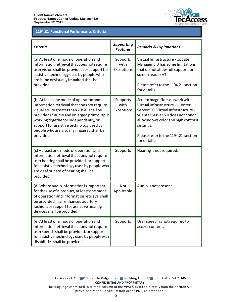

# **1194.31 Functional Performance Criteria 1194.31 Functional Performance Criteria**

| <b>Criteria</b>                                                                                                                                                                                                                                                                                                                  | <b>Supporting</b><br><b>Features</b> | <b>Remarks &amp; Explanations</b>                                                                                                                                                                                                                          |
|----------------------------------------------------------------------------------------------------------------------------------------------------------------------------------------------------------------------------------------------------------------------------------------------------------------------------------|--------------------------------------|------------------------------------------------------------------------------------------------------------------------------------------------------------------------------------------------------------------------------------------------------------|
| (a) At least one mode of operation and<br>information retrieval that does not require<br>user vision shall be provided, or support for<br>assistive technology used by people who<br>are blind or visually impaired shall be<br>provided.                                                                                        | Supports<br>with<br>Exceptions       | Virtual Infrastructure - Update<br>Manager 5.0 has some limitations<br>that do not allow full support for<br>screen reader AT.<br>Please refer to the 1194.21 section<br>for details.                                                                      |
| (b) At least one mode of operation and<br>information retrieval that does not require<br>visual acuity greater than 20/70 shall be<br>provided in audio and enlarged print output<br>working together or independently, or<br>support for assistive technology used by<br>people who are visually impaired shall be<br>provided. | Supports<br>with<br>Exceptions       | Screen magnifiers do work with<br>Virtual Infrastructure - vCenter<br>Server 5.0. Virtual Infrastructure -<br>vCenter Server 5.0 does not honor<br>all Windows color and high contrast<br>settings.<br>Please refer to the 1194.21 section<br>for details. |
| (c) At least one mode of operation and<br>information retrieval that does not require<br>user hearing shall be provided, or support<br>for assistive technology used by people who<br>are deaf or hard of hearing shall be<br>provided.                                                                                          | Supports                             | Hearing is not required.                                                                                                                                                                                                                                   |
| (d) Where audio information is important<br>for the use of a product, at least one mode<br>of operation and information retrieval shall<br>be provided in an enhanced auditory<br>fashion, or support for assistive hearing<br>devices shall be provided.                                                                        | Not<br>Applicable                    | Audio is not present.                                                                                                                                                                                                                                      |
| (e) At least one mode of operation and<br>information retrieval that does not require<br>user speech shall be provided, or support<br>for assistive technology used by people with<br>disabilities shall be provided.                                                                                                            | Supports                             | User speech is not required to<br>access content.                                                                                                                                                                                                          |

provisions of the Rehabilitation Act of 1973, as amended.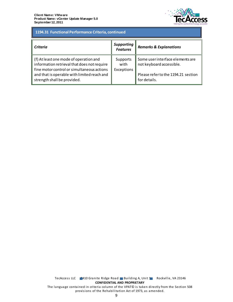

# 1194.31 Functional Performance Criteria, continued **1194.31 Functional Performance Criteria, continued**

| <b>Criteria</b>                                                                                                                                                                                                   | <b>Supporting</b><br><b>Features</b> | <b>Remarks &amp; Explanations</b>                                                                                   |
|-------------------------------------------------------------------------------------------------------------------------------------------------------------------------------------------------------------------|--------------------------------------|---------------------------------------------------------------------------------------------------------------------|
| (f) At least one mode of operation and<br>information retrieval that does not require<br>fine motor control or simultaneous actions<br>and that is operable with limited reach and<br>strength shall be provided. | Supports<br>with<br>Exceptions       | Some user interface elements are<br>not keyboard accessible.<br>Please refer to the 1194.21 section<br>for details. |

TecAccess LLC 2410 Granite Ridge Road Building A, Unit 1 Rockville, VA 23146 **CONFIDENTIAL AND PROPRIETARY** The language contained in criteria column of the VPAT© is taken directly from the Section 508 provisions of the Rehabilitation Act of 1973, as amended.